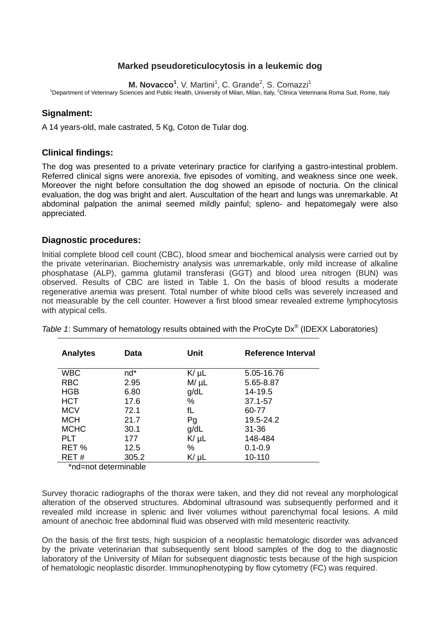# **Marked pseudoreticulocytosis in a leukemic dog**

M. Novacco<sup>1</sup>, V. Martini<sup>1</sup>, C. Grande<sup>2</sup>, S. Comazzi<sup>1</sup>

<sup>1</sup>Department of Veterinary Sciences and Public Health, University of Milan, Milan, Italy, <sup>2</sup>Clinica Veterinaria Roma Sud, Rome, Italy

## **Signalment:**

A 14 years-old, male castrated, 5 Kg, Coton de Tular dog.

## **Clinical findings:**

The dog was presented to a private veterinary practice for clarifying a gastro-intestinal problem. Referred clinical signs were anorexia, five episodes of vomiting, and weakness since one week. Moreover the night before consultation the dog showed an episode of nocturia. On the clinical evaluation, the dog was bright and alert. Auscultation of the heart and lungs was unremarkable. At abdominal palpation the animal seemed mildly painful; spleno- and hepatomegaly were also appreciated.

#### **Diagnostic procedures:**

Initial complete blood cell count (CBC), blood smear and biochemical analysis were carried out by the private veterinarian. Biochemistry analysis was unremarkable, only mild increase of alkaline phosphatase (ALP), gamma glutamil transferasi (GGT) and blood urea nitrogen (BUN) was observed. Results of CBC are listed in Table 1. On the basis of blood results a moderate regenerative anemia was present. Total number of white blood cells was severely increased and not measurable by the cell counter. However a first blood smear revealed extreme lymphocytosis with atypical cells.

| <b>Analytes</b> | Data   | Unit      | Reference Interval |
|-----------------|--------|-----------|--------------------|
| <b>WBC</b>      | $nd^*$ | $K/\mu L$ | 5.05-16.76         |
| <b>RBC</b>      | 2.95   | $M/\mu L$ | 5.65-8.87          |
| <b>HGB</b>      | 6.80   | g/dL      | 14-19.5            |
| <b>HCT</b>      | 17.6   | %         | 37.1-57            |
| <b>MCV</b>      | 72.1   | fL        | 60-77              |
| <b>MCH</b>      | 21.7   | Pg        | 19.5-24.2          |
| <b>MCHC</b>     | 30.1   | g/dL      | $31 - 36$          |
| <b>PLT</b>      | 177    | $K/\mu L$ | 148-484            |
| RET%            | 12.5   | %         | $0.1 - 0.9$        |
| RET#            | 305.2  | $K/\mu L$ | 10-110             |

*Table 1*: Summary of hematology results obtained with the ProCyte Dx® (IDEXX Laboratories)

\*nd=not determinable

Survey thoracic radiographs of the thorax were taken, and they did not reveal any morphological alteration of the observed structures. Abdominal ultrasound was subsequently performed and it revealed mild increase in splenic and liver volumes without parenchymal focal lesions. A mild amount of anechoic free abdominal fluid was observed with mild mesenteric reactivity.

On the basis of the first tests, high suspicion of a neoplastic hematologic disorder was advanced by the private veterinarian that subsequently sent blood samples of the dog to the diagnostic laboratory of the University of Milan for subsequent diagnostic tests because of the high suspicion of hematologic neoplastic disorder. Immunophenotyping by flow cytometry (FC) was required.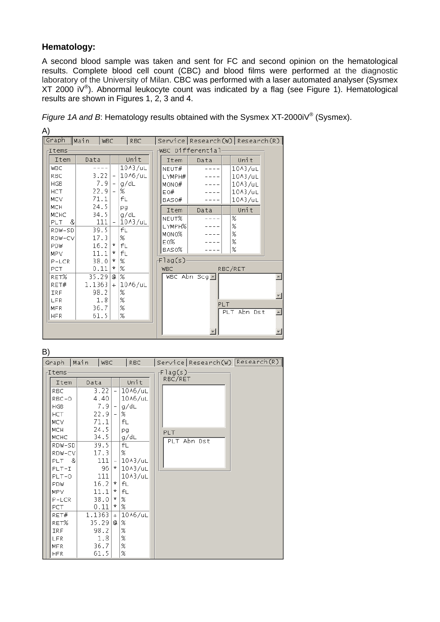## **Hematology:**

A)

A second blood sample was taken and sent for FC and second opinion on the hematological results. Complete blood cell count (CBC) and blood films were performed at the diagnostic laboratory of the University of Milan. CBC was performed with a laser automated analyser (Sysmex XT 2000 iV<sup>®</sup>). Abnormal leukocyte count was indicated by a flag (see Figure 1). Hematological results are shown in Figures 1, 2, 3 and 4.

| Graph Main                 |        | <b>WBC</b>                       | <b>RBC</b>                   |  |            | Service Research(W) Research(R) |     |                              |  |
|----------------------------|--------|----------------------------------|------------------------------|--|------------|---------------------------------|-----|------------------------------|--|
| WBC Differential<br>-Items |        |                                  |                              |  |            |                                 |     |                              |  |
| Item                       | Data   |                                  | Unit                         |  | Item       | Data                            |     | Unit                         |  |
| <b>WBC</b>                 |        |                                  | 10^3/uL                      |  | NEUT#      |                                 |     | 10A3/uL                      |  |
| RBC                        | 3.22   | $\overline{\phantom{a}}$         | 10^6/uL                      |  | LYMPH#     |                                 |     | $10$ $\lambda$ $3$ / $\mu$ L |  |
| <b>HGB</b>                 |        | 7.91<br>$\overline{\phantom{a}}$ | g/dL                         |  | MONO#      |                                 |     | $10$ $\lambda$ $3$ / $\mu$ L |  |
| <b>HCT</b>                 | 22.9   | $\overline{\phantom{a}}$         | %                            |  | EO#        |                                 |     | 10A3/uL                      |  |
| <b>MCV</b>                 | 71.1   |                                  | fL                           |  | BAS0#      |                                 |     | 10A3/uL                      |  |
| <b>MCH</b>                 | 24.5   |                                  | pg                           |  | Item       | Data                            |     | Unit                         |  |
| <b>MCHC</b>                | 34.5   |                                  | g/dL                         |  | NEUT%      |                                 |     | %                            |  |
| &<br><b>PLT</b>            |        | 111<br>$\overline{\phantom{a}}$  | $10$ $\lambda$ $3$ / $\mu$ L |  | LYMPH%     |                                 |     | %                            |  |
| RDW-SD                     | 39.5   |                                  | fL                           |  | MONO%      |                                 |     | %                            |  |
| RDW-CV                     | 17.3   |                                  | %                            |  | E0%        |                                 |     | %                            |  |
| <b>PDW</b>                 | 16.2   | *                                | fL                           |  | BAS0%      |                                 |     | %                            |  |
| <b>MPV</b>                 | 11.1   | ¥.                               | fL                           |  |            |                                 |     |                              |  |
| $P-LCR$                    | 38.0   | *                                | %                            |  | -Flag(s)·  |                                 |     |                              |  |
| <b>PCT</b>                 | 0.11   | *                                | %                            |  | <b>WBC</b> |                                 |     | RBC/RET                      |  |
| RET%                       | 35.29  | a                                | %                            |  |            | WBC Abn Scg $\blacksquare$      |     |                              |  |
| RET#                       | 1.1363 | $+$                              | 10^6/uL                      |  |            |                                 |     |                              |  |
| IRF                        | 98.2   |                                  | %                            |  |            |                                 |     |                              |  |
| LFR                        |        | 1.8                              | %                            |  |            |                                 | PLT |                              |  |
| <b>MFR</b>                 | 36.7   |                                  | %                            |  |            |                                 |     | PLT Abn Dst                  |  |
| <b>HFR</b>                 | 61.5   |                                  | %                            |  |            |                                 |     |                              |  |
|                            |        |                                  |                              |  |            |                                 |     |                              |  |
|                            |        |                                  |                              |  |            |                                 |     |                              |  |

*Figure 1A and B*: Hematology results obtained with the Sysmex XT-2000iV<sup>®</sup> (Sysmex).

### B)

| Graph       | Main<br><b>WBC</b> |                          | <b>RBC</b>                |            |             | Service Research (W) Research (R) |
|-------------|--------------------|--------------------------|---------------------------|------------|-------------|-----------------------------------|
| -Items      |                    |                          | -Flag(s)·                 |            |             |                                   |
| Item        | Data               |                          | Unit                      | RBC/RET    |             |                                   |
| RBC         | 3.22               | $\overline{\phantom{a}}$ | 10^6/uL                   |            |             |                                   |
| RBC-0       | 4.40               |                          | 10^6/uL                   |            |             |                                   |
| <b>HGB</b>  | 7.9                | $-1$                     | g/dL                      |            |             |                                   |
| <b>HCT</b>  | 22.9               | $-1$                     | %                         |            |             |                                   |
| <b>MCV</b>  | 71.1               |                          | fL                        |            |             |                                   |
| <b>MCH</b>  | 24.5               |                          | pg                        | <b>PLT</b> |             |                                   |
| MCHC        | 34.5               |                          | g/dL                      |            | PLT Abn Dst |                                   |
| RDW-SD      | 39.5               |                          | fL                        |            |             |                                   |
| RDW-CV      | 17.3               |                          | %                         |            |             |                                   |
| PLT.<br>- & | 111                |                          | $-10A3/uL$                |            |             |                                   |
| $PLT-T$     | 96                 |                          | * 1043/uL                 |            |             |                                   |
| $PLT - O$   | 111                |                          | 10A3/uL                   |            |             |                                   |
| <b>PDW</b>  | 16.2               | ¥.                       | fL                        |            |             |                                   |
| <b>MPV</b>  | 11.1               | $\star$                  | fL                        |            |             |                                   |
| $P-LCR$     | 38.0               | ¥.                       | %                         |            |             |                                   |
| PCT.        | 0.11               | ¥.                       | %                         |            |             |                                   |
| RET#        | 1.1363             |                          | $+10$ <sup>1</sup> 0/6/uL |            |             |                                   |
| RET%        | 35.29              | Q                        | %                         |            |             |                                   |
| IRF         | 98.2               |                          | %                         |            |             |                                   |
| LFR         | 1.8                |                          | %                         |            |             |                                   |
| <b>MFR</b>  | 36.7               |                          | %                         |            |             |                                   |
| <b>HFR</b>  | 61.5               |                          | %                         |            |             |                                   |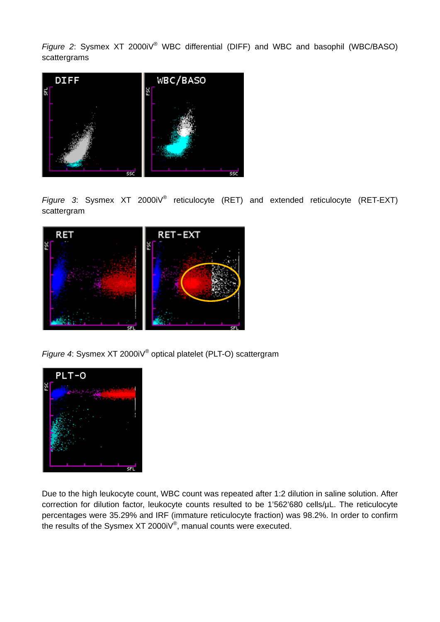*Figure 2*: Sysmex XT 2000iV® WBC differential (DIFF) and WBC and basophil (WBC/BASO) scattergrams



*Figure 3*: Sysmex XT 2000iV® reticulocyte (RET) and extended reticulocyte (RET-EXT) scattergram



*Figure 4*: Sysmex XT 2000iV® optical platelet (PLT-O) scattergram



Due to the high leukocyte count, WBC count was repeated after 1:2 dilution in saline solution. After correction for dilution factor, leukocyte counts resulted to be 1'562'680 cells/µL. The reticulocyte percentages were 35.29% and IRF (immature reticulocyte fraction) was 98.2%. In order to confirm the results of the Sysmex XT 2000iV®, manual counts were executed.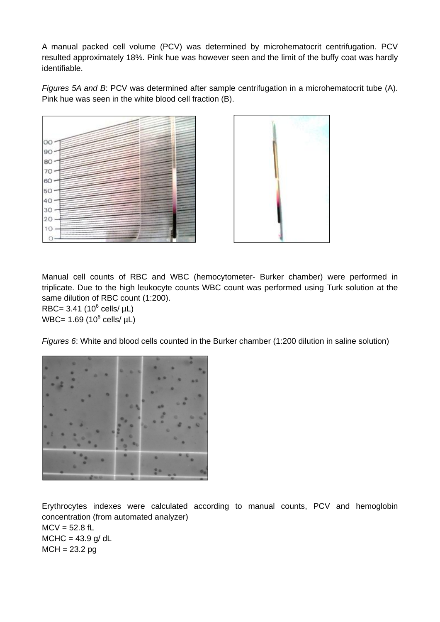A manual packed cell volume (PCV) was determined by microhematocrit centrifugation. PCV resulted approximately 18%. Pink hue was however seen and the limit of the buffy coat was hardly identifiable.

*Figures 5A and B*: PCV was determined after sample centrifugation in a microhematocrit tube (A). Pink hue was seen in the white blood cell fraction (B).





Manual cell counts of RBC and WBC (hemocytometer- Burker chamber) were performed in triplicate. Due to the high leukocyte counts WBC count was performed using Turk solution at the same dilution of RBC count (1:200).

 $RBC = 3.41 (10<sup>6</sup> cells/  $\mu$ L)$ WBC= 1.69 (10 $^6$  cells/  $\mu$ L)

*Figures 6*: White and blood cells counted in the Burker chamber (1:200 dilution in saline solution)



Erythrocytes indexes were calculated according to manual counts, PCV and hemoglobin concentration (from automated analyzer)  $MCV = 52.8$  fL  $MCHC = 43.9$  g/dL  $MCH = 23.2$  pg